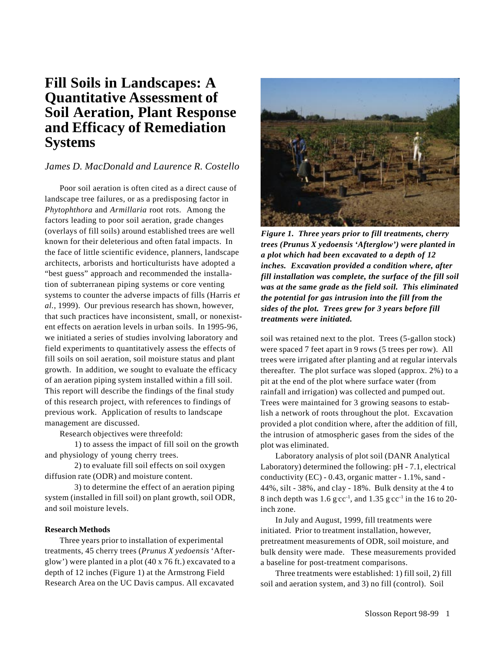# **Fill Soils in Landscapes: A Quantitative Assessment of Soil Aeration, Plant Response and Efficacy of Remediation Systems**

## *James D. MacDonald and Laurence R. Costello*

Poor soil aeration is often cited as a direct cause of landscape tree failures, or as a predisposing factor in *Phytophthora* and *Armillaria* root rots. Among the factors leading to poor soil aeration, grade changes (overlays of fill soils) around established trees are well known for their deleterious and often fatal impacts. In the face of little scientific evidence, planners, landscape architects, arborists and horticulturists have adopted a "best guess" approach and recommended the installation of subterranean piping systems or core venting systems to counter the adverse impacts of fills (Harris *et al.*, 1999). Our previous research has shown, however, that such practices have inconsistent, small, or nonexistent effects on aeration levels in urban soils. In 1995-96, we initiated a series of studies involving laboratory and field experiments to quantitatively assess the effects of fill soils on soil aeration, soil moisture status and plant growth. In addition, we sought to evaluate the efficacy of an aeration piping system installed within a fill soil. This report will describe the findings of the final study of this research project, with references to findings of previous work. Application of results to landscape management are discussed.

Research objectives were threefold:

1) to assess the impact of fill soil on the growth and physiology of young cherry trees.

2) to evaluate fill soil effects on soil oxygen diffusion rate (ODR) and moisture content.

3) to determine the effect of an aeration piping system (installed in fill soil) on plant growth, soil ODR, and soil moisture levels.

### **Research Methods**

Three years prior to installation of experimental treatments, 45 cherry trees (*Prunus X yedoensis* 'Afterglow') were planted in a plot (40 x 76 ft.) excavated to a depth of 12 inches (Figure 1) at the Armstrong Field Research Area on the UC Davis campus. All excavated



*Figure 1. Three years prior to fill treatments, cherry trees (Prunus X yedoensis 'Afterglow') were planted in a plot which had been excavated to a depth of 12 inches. Excavation provided a condition where, after fill installation was complete, the surface of the fill soil was at the same grade as the field soil. This eliminated the potential for gas intrusion into the fill from the sides of the plot. Trees grew for 3 years before fill treatments were initiated.*

soil was retained next to the plot. Trees (5-gallon stock) were spaced 7 feet apart in 9 rows (5 trees per row). All trees were irrigated after planting and at regular intervals thereafter. The plot surface was sloped (approx. 2%) to a pit at the end of the plot where surface water (from rainfall and irrigation) was collected and pumped out. Trees were maintained for 3 growing seasons to establish a network of roots throughout the plot. Excavation provided a plot condition where, after the addition of fill, the intrusion of atmospheric gases from the sides of the plot was eliminated.

Laboratory analysis of plot soil (DANR Analytical Laboratory) determined the following: pH - 7.1, electrical conductivity (EC) - 0.43, organic matter - 1.1%, sand - 44%, silt - 38%, and clay - 18%. Bulk density at the 4 to 8 inch depth was  $1.6$  g cc<sup>-1</sup>, and  $1.35$  g cc<sup>-1</sup> in the 16 to 20inch zone.

In July and August, 1999, fill treatments were initiated. Prior to treatment installation, however, pretreatment measurements of ODR, soil moisture, and bulk density were made. These measurements provided a baseline for post-treatment comparisons.

Three treatments were established: 1) fill soil, 2) fill soil and aeration system, and 3) no fill (control). Soil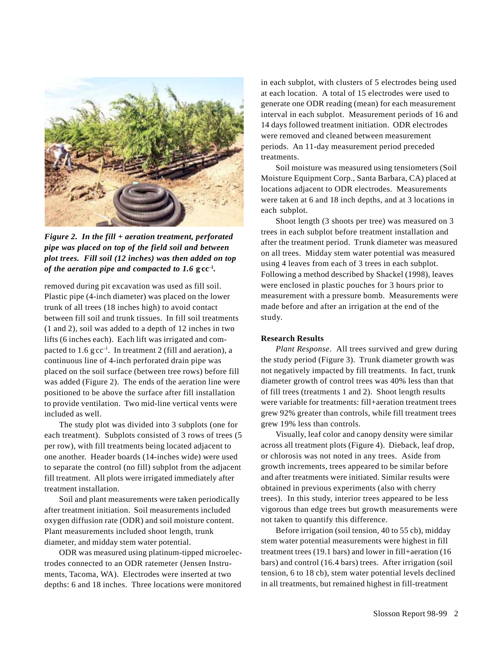

*Figure 2. In the fill + aeration treatment, perforated pipe was placed on top of the field soil and between plot trees. Fill soil (12 inches) was then added on top of the aeration pipe and compacted to 1.6*  $\text{gcc}$ <sup>1</sup>*.* 

removed during pit excavation was used as fill soil. Plastic pipe (4-inch diameter) was placed on the lower trunk of all trees (18 inches high) to avoid contact between fill soil and trunk tissues. In fill soil treatments (1 and 2), soil was added to a depth of 12 inches in two lifts (6 inches each). Each lift was irrigated and compacted to  $1.6 \text{ g cc}^{-1}$ . In treatment 2 (fill and aeration), a continuous line of 4-inch perforated drain pipe was placed on the soil surface (between tree rows) before fill was added (Figure 2). The ends of the aeration line were positioned to be above the surface after fill installation to provide ventilation. Two mid-line vertical vents were included as well.

The study plot was divided into 3 subplots (one for each treatment). Subplots consisted of 3 rows of trees (5 per row), with fill treatments being located adjacent to one another. Header boards (14-inches wide) were used to separate the control (no fill) subplot from the adjacent fill treatment. All plots were irrigated immediately after treatment installation.

Soil and plant measurements were taken periodically after treatment initiation. Soil measurements included oxygen diffusion rate (ODR) and soil moisture content. Plant measurements included shoot length, trunk diameter, and midday stem water potential.

ODR was measured using platinum-tipped microelectrodes connected to an ODR ratemeter (Jensen Instruments, Tacoma, WA). Electrodes were inserted at two depths: 6 and 18 inches. Three locations were monitored

in each subplot, with clusters of 5 electrodes being used at each location. A total of 15 electrodes were used to generate one ODR reading (mean) for each measurement interval in each subplot. Measurement periods of 16 and 14 days followed treatment initiation. ODR electrodes were removed and cleaned between measurement periods. An 11-day measurement period preceded treatments.

Soil moisture was measured using tensiometers (Soil Moisture Equipment Corp., Santa Barbara, CA) placed at locations adjacent to ODR electrodes. Measurements were taken at 6 and 18 inch depths, and at 3 locations in each subplot.

Shoot length (3 shoots per tree) was measured on 3 trees in each subplot before treatment installation and after the treatment period. Trunk diameter was measured on all trees. Midday stem water potential was measured using 4 leaves from each of 3 trees in each subplot. Following a method described by Shackel (1998), leaves were enclosed in plastic pouches for 3 hours prior to measurement with a pressure bomb. Measurements were made before and after an irrigation at the end of the study.

### **Research Results**

*Plant Response*. All trees survived and grew during the study period (Figure 3). Trunk diameter growth was not negatively impacted by fill treatments. In fact, trunk diameter growth of control trees was 40% less than that of fill trees (treatments 1 and 2). Shoot length results were variable for treatments: fill+aeration treatment trees grew 92% greater than controls, while fill treatment trees grew 19% less than controls.

Visually, leaf color and canopy density were similar across all treatment plots (Figure 4). Dieback, leaf drop, or chlorosis was not noted in any trees. Aside from growth increments, trees appeared to be similar before and after treatments were initiated. Similar results were obtained in previous experiments (also with cherry trees). In this study, interior trees appeared to be less vigorous than edge trees but growth measurements were not taken to quantify this difference.

Before irrigation (soil tension, 40 to 55 cb), midday stem water potential measurements were highest in fill treatment trees (19.1 bars) and lower in fill+aeration (16 bars) and control (16.4 bars) trees. After irrigation (soil tension, 6 to 18 cb), stem water potential levels declined in all treatments, but remained highest in fill-treatment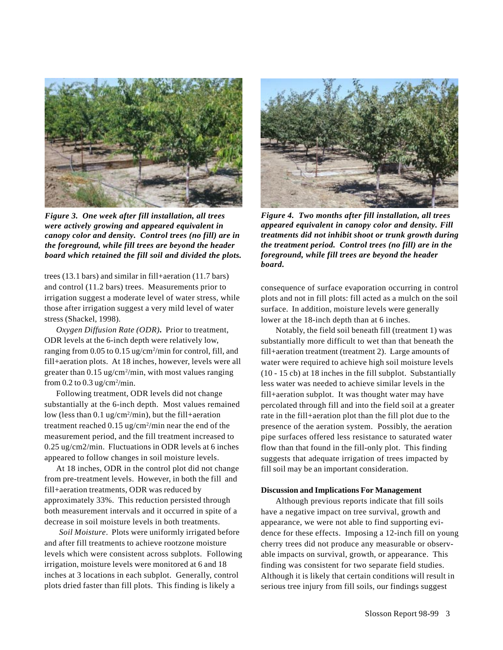

*Figure 3. One week after fill installation, all trees were actively growing and appeared equivalent in canopy color and density. Control trees (no fill) are in the foreground, while fill trees are beyond the header board which retained the fill soil and divided the plots.*

trees (13.1 bars) and similar in fill+aeration (11.7 bars) and control (11.2 bars) trees. Measurements prior to irrigation suggest a moderate level of water stress, while those after irrigation suggest a very mild level of water stress (Shackel, 1998).

*Oxygen Diffusion Rate (ODR)***.** Prior to treatment, ODR levels at the 6-inch depth were relatively low, ranging from 0.05 to 0.15 ug/cm<sup>2</sup>/min for control, fill, and fill+aeration plots. At 18 inches, however, levels were all greater than 0.15 ug/cm<sup>2</sup>/min, with most values ranging from  $0.2$  to  $0.3$  ug/cm<sup>2</sup>/min.

Following treatment, ODR levels did not change substantially at the 6-inch depth. Most values remained low (less than 0.1 ug/cm<sup>2</sup>/min), but the fill+aeration treatment reached  $0.15 \text{ ug/cm}^2/\text{min}$  near the end of the measurement period, and the fill treatment increased to 0.25 ug/cm2/min. Fluctuations in ODR levels at 6 inches appeared to follow changes in soil moisture levels.

At 18 inches, ODR in the control plot did not change from pre-treatment levels. However, in both the fill and fill+aeration treatments, ODR was reduced by approximately 33%. This reduction persisted through both measurement intervals and it occurred in spite of a decrease in soil moisture levels in both treatments.

*Soil Moisture*. Plots were uniformly irrigated before and after fill treatments to achieve rootzone moisture levels which were consistent across subplots. Following irrigation, moisture levels were monitored at 6 and 18 inches at 3 locations in each subplot. Generally, control plots dried faster than fill plots. This finding is likely a



*Figure 4. Two months after fill installation, all trees appeared equivalent in canopy color and density. Fill treatments did not inhibit shoot or trunk growth during the treatment period. Control trees (no fill) are in the foreground, while fill trees are beyond the header board.*

consequence of surface evaporation occurring in control plots and not in fill plots: fill acted as a mulch on the soil surface. In addition, moisture levels were generally lower at the 18-inch depth than at 6 inches.

Notably, the field soil beneath fill (treatment 1) was substantially more difficult to wet than that beneath the fill+aeration treatment (treatment 2). Large amounts of water were required to achieve high soil moisture levels (10 - 15 cb) at 18 inches in the fill subplot. Substantially less water was needed to achieve similar levels in the fill+aeration subplot. It was thought water may have percolated through fill and into the field soil at a greater rate in the fill+aeration plot than the fill plot due to the presence of the aeration system. Possibly, the aeration pipe surfaces offered less resistance to saturated water flow than that found in the fill-only plot. This finding suggests that adequate irrigation of trees impacted by fill soil may be an important consideration.

#### **Discussion and Implications For Management**

Although previous reports indicate that fill soils have a negative impact on tree survival, growth and appearance, we were not able to find supporting evidence for these effects. Imposing a 12-inch fill on young cherry trees did not produce any measurable or observable impacts on survival, growth, or appearance. This finding was consistent for two separate field studies. Although it is likely that certain conditions will result in serious tree injury from fill soils, our findings suggest